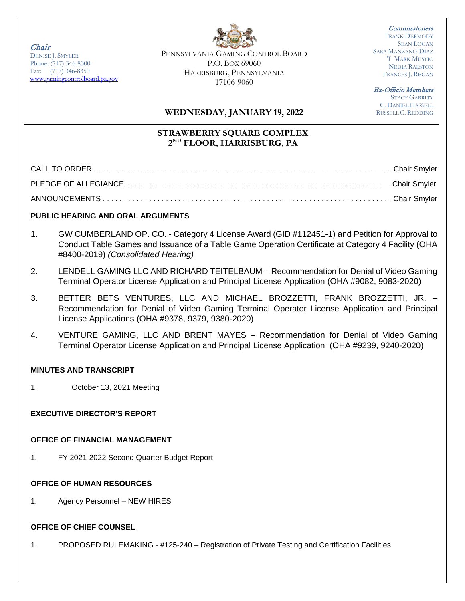Chair

DENISE J. SMYLER Phone: (717) 346-8300 Fax: (717) 346-8350 [www.gamingcontrolboard.pa.gov](http://www.gamingcontrolboard.pa.gov/) PENNSYLVANIA GAMING CONTROL BOARD P.O. BOX 69060 HARRISBURG, PENNSYLVANIA 17106-9060

**Commissioners** FRANK DERMODY SEAN LOGAN SARA MANZANO-DÍAZ T. MARK MUSTIO NEDIA RALSTON FRANCES J. REGAN

Ex-Officio Members

STACY GARRITY C. DANIEL HASSELL RUSSELL C. REDDING

## **WEDNESDAY, JANUARY 19, 2022**

# **STRAWBERRY SQUARE COMPLEX 2ND FLOOR, HARRISBURG, PA**

### **PUBLIC HEARING AND ORAL ARGUMENTS**

- 1. GW CUMBERLAND OP. CO. Category 4 License Award (GID #112451-1) and Petition for Approval to Conduct Table Games and Issuance of a Table Game Operation Certificate at Category 4 Facility (OHA #8400-2019) *(Consolidated Hearing)*
- 2. LENDELL GAMING LLC AND RICHARD TEITELBAUM Recommendation for Denial of Video Gaming Terminal Operator License Application and Principal License Application (OHA #9082, 9083-2020)
- 3. BETTER BETS VENTURES, LLC AND MICHAEL BROZZETTI, FRANK BROZZETTI, JR. Recommendation for Denial of Video Gaming Terminal Operator License Application and Principal License Applications (OHA #9378, 9379, 9380-2020)
- 4. VENTURE GAMING, LLC AND BRENT MAYES Recommendation for Denial of Video Gaming Terminal Operator License Application and Principal License Application (OHA #9239, 9240-2020)

#### **MINUTES AND TRANSCRIPT**

1. October 13, 2021 Meeting

## **EXECUTIVE DIRECTOR'S REPORT**

#### **OFFICE OF FINANCIAL MANAGEMENT**

1. FY 2021-2022 Second Quarter Budget Report

#### **OFFICE OF HUMAN RESOURCES**

1. Agency Personnel – NEW HIRES

#### **OFFICE OF CHIEF COUNSEL**

1. PROPOSED RULEMAKING - #125-240 – Registration of Private Testing and Certification Facilities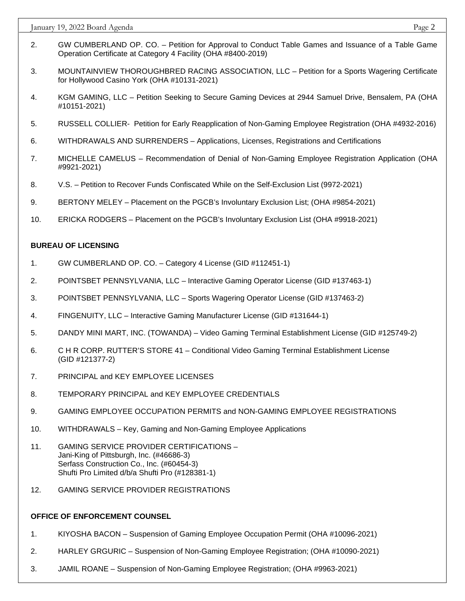January 19, 2022 Board Agenda Page 2

- 2. GW CUMBERLAND OP. CO. Petition for Approval to Conduct Table Games and Issuance of a Table Game Operation Certificate at Category 4 Facility (OHA #8400-2019)
- 3. MOUNTAINVIEW THOROUGHBRED RACING ASSOCIATION, LLC Petition for a Sports Wagering Certificate for Hollywood Casino York (OHA #10131-2021)
- 4. KGM GAMING, LLC Petition Seeking to Secure Gaming Devices at 2944 Samuel Drive, Bensalem, PA (OHA #10151-2021)
- 5. RUSSELL COLLIER- Petition for Early Reapplication of Non-Gaming Employee Registration (OHA #4932-2016)
- 6. WITHDRAWALS AND SURRENDERS Applications, Licenses, Registrations and Certifications
- 7. MICHELLE CAMELUS Recommendation of Denial of Non-Gaming Employee Registration Application (OHA #9921-2021)
- 8. V.S. Petition to Recover Funds Confiscated While on the Self-Exclusion List (9972-2021)
- 9. BERTONY MELEY Placement on the PGCB's Involuntary Exclusion List; (OHA #9854-2021)
- 10. ERICKA RODGERS Placement on the PGCB's Involuntary Exclusion List (OHA #9918-2021)

#### **BUREAU OF LICENSING**

- 1. GW CUMBERLAND OP. CO. Category 4 License (GID #112451-1)
- 2. POINTSBET PENNSYLVANIA, LLC Interactive Gaming Operator License (GID #137463-1)
- 3. POINTSBET PENNSYLVANIA, LLC Sports Wagering Operator License (GID #137463-2)
- 4. FINGENUITY, LLC Interactive Gaming Manufacturer License (GID #131644-1)
- 5. DANDY MINI MART, INC. (TOWANDA) Video Gaming Terminal Establishment License (GID #125749-2)
- 6. C H R CORP. RUTTER'S STORE 41 Conditional Video Gaming Terminal Establishment License (GID #121377-2)
- 7. PRINCIPAL and KEY EMPLOYEE LICENSES
- 8. TEMPORARY PRINCIPAL and KEY EMPLOYEE CREDENTIALS
- 9. GAMING EMPLOYEE OCCUPATION PERMITS and NON-GAMING EMPLOYEE REGISTRATIONS
- 10. WITHDRAWALS Key, Gaming and Non-Gaming Employee Applications
- 11. GAMING SERVICE PROVIDER CERTIFICATIONS Jani-King of Pittsburgh, Inc. (#46686-3) Serfass Construction Co., Inc. (#60454-3) Shufti Pro Limited d/b/a Shufti Pro (#128381-1)
- 12. GAMING SERVICE PROVIDER REGISTRATIONS

#### **OFFICE OF ENFORCEMENT COUNSEL**

- 1. KIYOSHA BACON Suspension of Gaming Employee Occupation Permit (OHA #10096-2021)
- 2. HARLEY GRGURIC Suspension of Non-Gaming Employee Registration; (OHA #10090-2021)
- 3. JAMIL ROANE Suspension of Non-Gaming Employee Registration; (OHA #9963-2021)